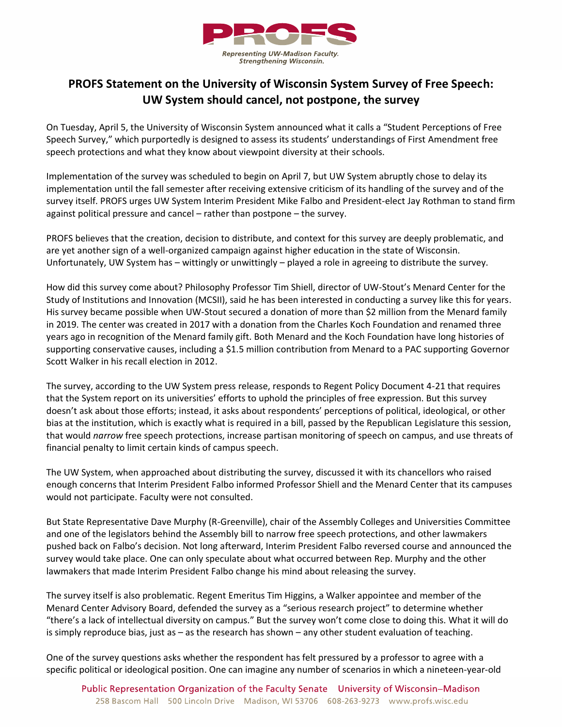

## **PROFS Statement on the University of Wisconsin System Survey of Free Speech: UW System should cancel, not postpone, the survey**

On Tuesday, April 5, the University of Wisconsin System announced what it calls a "Student Perceptions of Free Speech Survey," which purportedly is designed to assess its students' understandings of First Amendment free speech protections and what they know about viewpoint diversity at their schools.

Implementation of the survey was scheduled to begin on April 7, but UW System abruptly chose to delay its implementation until the fall semester after receiving extensive criticism of its handling of the survey and of the survey itself. PROFS urges UW System Interim President Mike Falbo and President-elect Jay Rothman to stand firm against political pressure and cancel – rather than postpone – the survey.

PROFS believes that the creation, decision to distribute, and context for this survey are deeply problematic, and are yet another sign of a well-organized campaign against higher education in the state of Wisconsin. Unfortunately, UW System has – wittingly or unwittingly – played a role in agreeing to distribute the survey.

How did this survey come about? Philosophy Professor Tim Shiell, director of UW-Stout's Menard Center for the Study of Institutions and Innovation (MCSII), said he has been interested in conducting a survey like this for years. His survey became possible when UW-Stout secured a donation of more than \$2 million from the Menard family in 2019. The center was created in 2017 with a donation from the Charles Koch Foundation and renamed three years ago in recognition of the Menard family gift. Both Menard and the Koch Foundation have long histories of supporting conservative causes, including a \$1.5 million contribution from Menard to a PAC supporting Governor Scott Walker in his recall election in 2012.

The survey, according to the UW System press release, responds to Regent Policy Document 4-21 that requires that the System report on its universities' efforts to uphold the principles of free expression. But this survey doesn't ask about those efforts; instead, it asks about respondents' perceptions of political, ideological, or other bias at the institution, which is exactly what is required in a bill, passed by the Republican Legislature this session, that would *narrow* free speech protections, increase partisan monitoring of speech on campus, and use threats of financial penalty to limit certain kinds of campus speech.

The UW System, when approached about distributing the survey, discussed it with its chancellors who raised enough concerns that Interim President Falbo informed Professor Shiell and the Menard Center that its campuses would not participate. Faculty were not consulted.

But State Representative Dave Murphy (R-Greenville), chair of the Assembly Colleges and Universities Committee and one of the legislators behind the Assembly bill to narrow free speech protections, and other lawmakers pushed back on Falbo's decision. Not long afterward, Interim President Falbo reversed course and announced the survey would take place. One can only speculate about what occurred between Rep. Murphy and the other lawmakers that made Interim President Falbo change his mind about releasing the survey.

The survey itself is also problematic. Regent Emeritus Tim Higgins, a Walker appointee and member of the Menard Center Advisory Board, defended the survey as a "serious research project" to determine whether "there's a lack of intellectual diversity on campus." But the survey won't come close to doing this. What it will do is simply reproduce bias, just as – as the research has shown – any other student evaluation of teaching.

One of the survey questions asks whether the respondent has felt pressured by a professor to agree with a specific political or ideological position. One can imagine any number of scenarios in which a nineteen-year-old